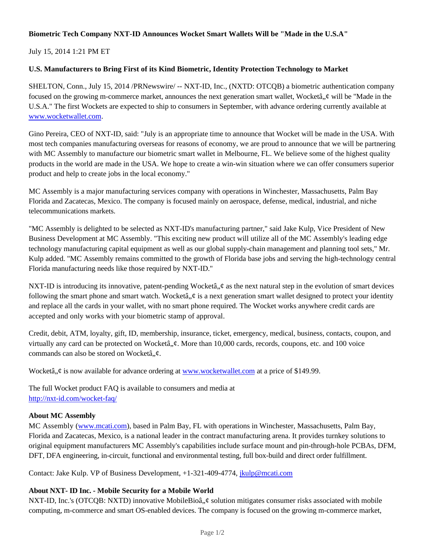## **Biometric Tech Company NXT-ID Announces Wocket Smart Wallets Will be "Made in the U.S.A"**

July 15, 2014 1:21 PM ET

## **U.S. Manufacturers to Bring First of its Kind Biometric, Identity Protection Technology to Market**

SHELTON, Conn., July 15, 2014 /PRNewswire/ -- NXT-ID, Inc., (NXTD: OTCQB) a biometric authentication company focused on the growing m-commerce market, announces the next generation smart wallet, Wocketâ,  $\phi$  will be "Made in the U.S.A." The first Wockets are expected to ship to consumers in September, with advance ordering currently available at www.wocketwallet.com.

Gino Pereira, CEO of NXT-ID, said: "July is an appropriate time to announce that Wocket will be made in the USA. With most tech companies manufacturing overseas for reasons of economy, we are proud to announce that we will be partnering with MC Assembly to manufacture our biometric smart wallet in Melbourne, FL. We believe some of the highest quality products in the world are made in the USA. We hope to create a win-win situation where we can offer consumers superior product and help to create jobs in the local economy."

MC Assembly is a major manufacturing services company with operations in Winchester, Massachusetts, Palm Bay Florida and Zacatecas, Mexico. The company is focused mainly on aerospace, defense, medical, industrial, and niche telecommunications markets.

"MC Assembly is delighted to be selected as NXT-ID's manufacturing partner," said Jake Kulp, Vice President of New Business Development at MC Assembly. "This exciting new product will utilize all of the MC Assembly's leading edge technology manufacturing capital equipment as well as our global supply-chain management and planning tool sets," Mr. Kulp added. "MC Assembly remains committed to the growth of Florida base jobs and serving the high-technology central Florida manufacturing needs like those required by NXT-ID."

NXT-ID is introducing its innovative, patent-pending Wocketâ,  $\phi$  as the next natural step in the evolution of smart devices following the smart phone and smart watch. Wocketâ,  $\phi$  is a next generation smart wallet designed to protect your identity and replace all the cards in your wallet, with no smart phone required. The Wocket works anywhere credit cards are accepted and only works with your biometric stamp of approval.

Credit, debit, ATM, loyalty, gift, ID, membership, insurance, ticket, emergency, medical, business, contacts, coupon, and virtually any card can be protected on Wocketâ,  $\phi$ . More than 10,000 cards, records, coupons, etc. and 100 voice commands can also be stored on Wocketâ,  $\phi$ .

Wocketâ,  $\phi$  is now available for advance ordering at www.wocketwallet.com at a price of \$149.99.

The full Wocket product FAQ is available to consumers and media at http://nxt-id.com/wocket-faq/

#### **About MC Assembly**

MC Assembly (www.mcati.com), based in Palm Bay, FL with operations in Winchester, Massachusetts, Palm Bay, Florida and Zacatecas, Mexico, is a national leader in the contract manufacturing arena. It provides turnkey solutions to original equipment manufacturers MC Assembly's capabilities include surface mount and pin-through-hole PCBAs, DFM, DFT, DFA engineering, in-circuit, functional and environmental testing, full box-build and direct order fulfillment.

Contact: Jake Kulp. VP of Business Development, +1-321-409-4774, jkulp@mcati.com

#### **About NXT- ID Inc. - Mobile Security for a Mobile World**

NXT-ID, Inc.'s (OTCQB: NXTD) innovative MobileBioâ, ¢ solution mitigates consumer risks associated with mobile computing, m-commerce and smart OS-enabled devices. The company is focused on the growing m-commerce market,